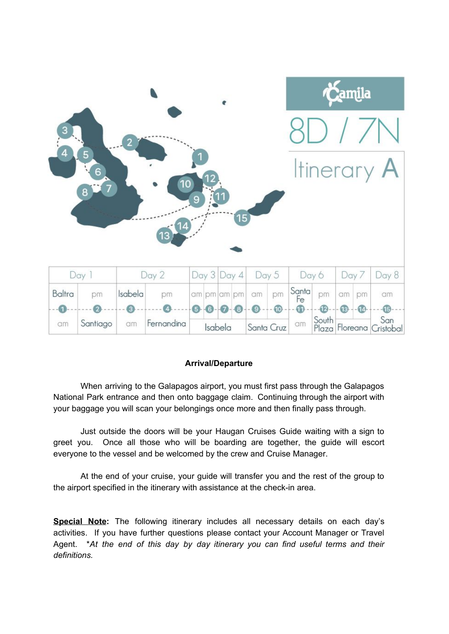|                                                                                  |          |                |            |         |                |             |              |          |       | <b>Samila</b>  |                 |       |                           |                 |  |
|----------------------------------------------------------------------------------|----------|----------------|------------|---------|----------------|-------------|--------------|----------|-------|----------------|-----------------|-------|---------------------------|-----------------|--|
| $\mathbf{3}$                                                                     |          |                |            |         |                |             |              |          |       |                |                 |       |                           |                 |  |
| $\overline{4}$<br>$5\overline{)}$<br><b>Itinerary A</b><br>$6\overline{6}$<br>10 |          |                |            |         |                |             |              |          |       |                |                 |       |                           |                 |  |
|                                                                                  | 8        |                |            | 9       |                |             | (15)         |          |       |                |                 |       |                           |                 |  |
|                                                                                  |          |                | 13         |         |                |             |              |          |       |                |                 |       |                           |                 |  |
| Day 1                                                                            |          | Day 2          |            | Day 3   |                | Day 4       |              | Day 5    |       |                | Day 6           | Day 7 |                           | Day 8           |  |
| Baltra                                                                           | pm       | Isabela        | pm         |         |                | am pm am pm |              | am       | pm    | Santa<br>Fe    | pm              | am    | pm                        | am              |  |
|                                                                                  | $\Omega$ | $\overline{3}$ |            |         | 6 <sup>1</sup> |             | $\mathbf{A}$ | $\Theta$ | $-60$ | $\mathbf{u}$   | $\overline{12}$ | 13    | $\overline{14}$           | $\overline{15}$ |  |
| am                                                                               | Santiago | am             | Fernandina | Isabela |                |             | Santa Cruz   |          | am    | South<br>Plaza |                 |       | San<br>Floreana Cristobal |                 |  |

#### **Arrival/Departure**

When arriving to the Galapagos airport, you must first pass through the Galapagos National Park entrance and then onto baggage claim. Continuing through the airport with your baggage you will scan your belongings once more and then finally pass through.

Just outside the doors will be your Haugan Cruises Guide waiting with a sign to greet you. Once all those who will be boarding are together, the guide will escort everyone to the vessel and be welcomed by the crew and Cruise Manager.

At the end of your cruise, your guide will transfer you and the rest of the group to the airport specified in the itinerary with assistance at the check-in area.

**Special Note:** The following itinerary includes all necessary details on each day's activities. If you have further questions please contact your Account Manager or Travel Agent. \**At the end of this day by day itinerary you can find useful terms and their definitions.*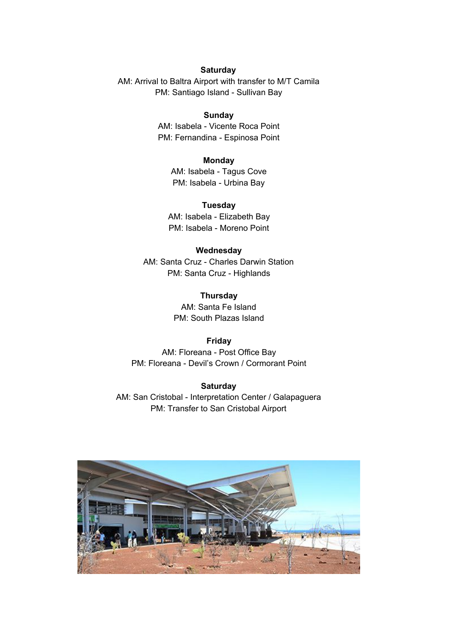#### **Saturday**

AM: Arrival to Baltra Airport with transfer to M/T Camila PM: Santiago Island - Sullivan Bay

## **Sunday**

AM: Isabela - Vicente Roca Point PM: Fernandina - Espinosa Point

#### **Monday**

AM: Isabela - Tagus Cove PM: Isabela - Urbina Bay

**Tuesday** AM: Isabela - Elizabeth Bay PM: Isabela - Moreno Point

#### **Wednesday**

AM: Santa Cruz - Charles Darwin Station PM: Santa Cruz - Highlands

> **Thursday** AM: Santa Fe Island PM: South Plazas Island

#### **Friday**

AM: Floreana - Post Office Bay PM: Floreana - Devil's Crown / Cormorant Point

#### **Saturday**

AM: San Cristobal - Interpretation Center / Galapaguera PM: Transfer to San Cristobal Airport

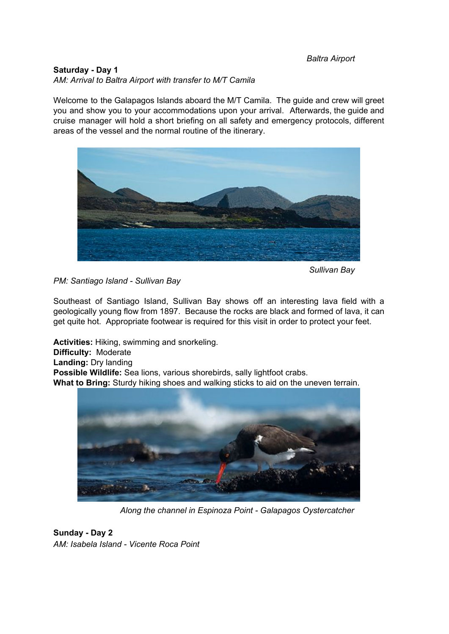#### *Baltra Airport*

#### **Saturday - Day 1**

*AM: Arrival to Baltra Airport with transfer to M/T Camila*

Welcome to the Galapagos Islands aboard the M/T Camila. The guide and crew will greet you and show you to your accommodations upon your arrival. Afterwards, the guide and cruise manager will hold a short briefing on all safety and emergency protocols, different areas of the vessel and the normal routine of the itinerary.



*Sullivan Bay*

*PM: Santiago Island - Sullivan Bay*

Southeast of Santiago Island, Sullivan Bay shows off an interesting lava field with a geologically young flow from 1897. Because the rocks are black and formed of lava, it can get quite hot. Appropriate footwear is required for this visit in order to protect your feet.

**Activities:** Hiking, swimming and snorkeling. **Difficulty:** Moderate **Landing:** Dry landing **Possible Wildlife:** Sea lions, various shorebirds, sally lightfoot crabs. **What to Bring:** Sturdy hiking shoes and walking sticks to aid on the uneven terrain.



*Along the channel in Espinoza Point - Galapagos Oystercatcher*

**Sunday - Day 2** *AM: Isabela Island - Vicente Roca Point*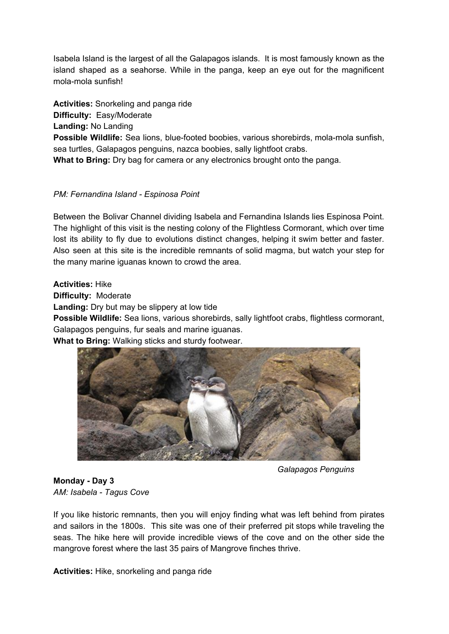Isabela Island is the largest of all the Galapagos islands. It is most famously known as the island shaped as a seahorse. While in the panga, keep an eye out for the magnificent mola-mola sunfish!

**Activities:** Snorkeling and panga ride **Difficulty:** Easy/Moderate **Landing:** No Landing **Possible Wildlife:** Sea lions, blue-footed boobies, various shorebirds, mola-mola sunfish, sea turtles, Galapagos penguins, nazca boobies, sally lightfoot crabs. **What to Bring:** Dry bag for camera or any electronics brought onto the panga.

# *PM: Fernandina Island - Espinosa Point*

Between the Bolivar Channel dividing Isabela and Fernandina Islands lies Espinosa Point. The highlight of this visit is the nesting colony of the Flightless Cormorant, which over time lost its ability to fly due to evolutions distinct changes, helping it swim better and faster. Also seen at this site is the incredible remnants of solid magma, but watch your step for the many marine iguanas known to crowd the area.

## **Activities:** Hike

**Difficulty:** Moderate

**Landing:** Dry but may be slippery at low tide

**Possible Wildlife:** Sea lions, various shorebirds, sally lightfoot crabs, flightless cormorant, Galapagos penguins, fur seals and marine iguanas.

# **What to Bring:** Walking sticks and sturdy footwear.



*Galapagos Penguins*

# **Monday - Day 3** *AM: Isabela - Tagus Cove*

If you like historic remnants, then you will enjoy finding what was left behind from pirates and sailors in the 1800s. This site was one of their preferred pit stops while traveling the seas. The hike here will provide incredible views of the cove and on the other side the mangrove forest where the last 35 pairs of Mangrove finches thrive.

**Activities:** Hike, snorkeling and panga ride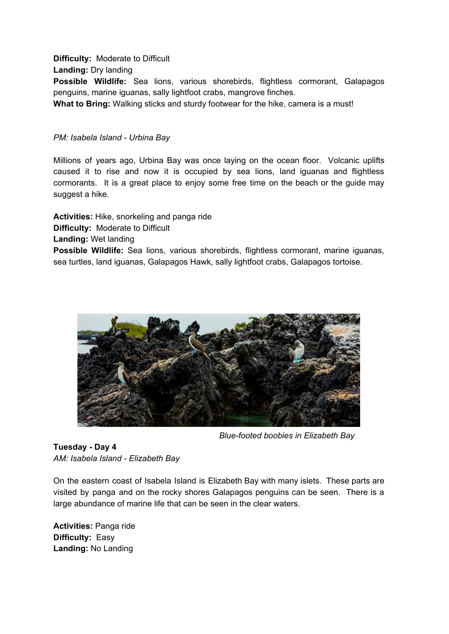#### **Difficulty:** Moderate to Difficult

**Landing:** Dry landing

**Possible Wildlife:** Sea lions, various shorebirds, flightless cormorant, Galapagos penguins, marine iguanas, sally lightfoot crabs, mangrove finches.

**What to Bring:** Walking sticks and sturdy footwear for the hike, camera is a must!

### *PM: Isabela Island - Urbina Bay*

Millions of years ago, Urbina Bay was once laying on the ocean floor. Volcanic uplifts caused it to rise and now it is occupied by sea lions, land iguanas and flightless cormorants. It is a great place to enjoy some free time on the beach or the guide may suggest a hike.

**Activities:** Hike, snorkeling and panga ride **Difficulty:** Moderate to Difficult **Landing:** Wet landing **Possible Wildlife:** Sea lions, various shorebirds, flightless cormorant, marine iguanas, sea turtles, land iguanas, Galapagos Hawk, sally lightfoot crabs, Galapagos tortoise.



*Blue-footed boobies in Elizabeth Bay*

**Tuesday - Day 4** *AM: Isabela Island - Elizabeth Bay*

On the eastern coast of Isabela Island is Elizabeth Bay with many islets. These parts are visited by panga and on the rocky shores Galapagos penguins can be seen. There is a large abundance of marine life that can be seen in the clear waters.

**Activities:** Panga ride **Difficulty:** Easy **Landing:** No Landing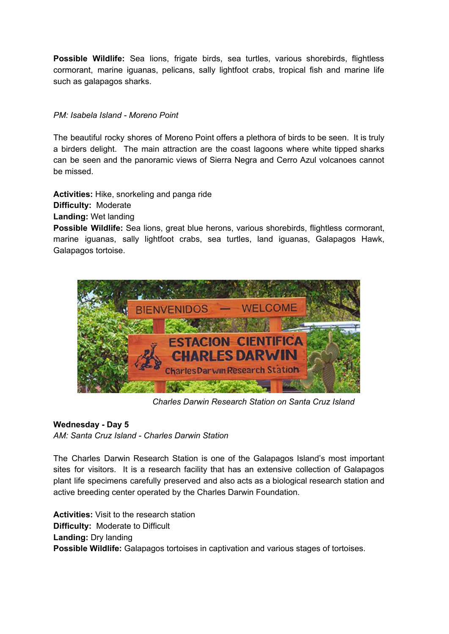**Possible Wildlife:** Sea lions, frigate birds, sea turtles, various shorebirds, flightless cormorant, marine iguanas, pelicans, sally lightfoot crabs, tropical fish and marine life such as galapagos sharks.

# *PM: Isabela Island - Moreno Point*

The beautiful rocky shores of Moreno Point offers a plethora of birds to be seen. It is truly a birders delight. The main attraction are the coast lagoons where white tipped sharks can be seen and the panoramic views of Sierra Negra and Cerro Azul volcanoes cannot be missed.

**Activities:** Hike, snorkeling and panga ride

**Difficulty:** Moderate

**Landing:** Wet landing

**Possible Wildlife:** Sea lions, great blue herons, various shorebirds, flightless cormorant, marine iguanas, sally lightfoot crabs, sea turtles, land iguanas, Galapagos Hawk, Galapagos tortoise.



*Charles Darwin Research Station on Santa Cruz Island*

# **Wednesday - Day 5**

*AM: Santa Cruz Island - Charles Darwin Station*

The Charles Darwin Research Station is one of the Galapagos Island's most important sites for visitors. It is a research facility that has an extensive collection of Galapagos plant life specimens carefully preserved and also acts as a biological research station and active breeding center operated by the Charles Darwin Foundation.

**Activities:** Visit to the research station **Difficulty:** Moderate to Difficult **Landing:** Dry landing **Possible Wildlife:** Galapagos tortoises in captivation and various stages of tortoises.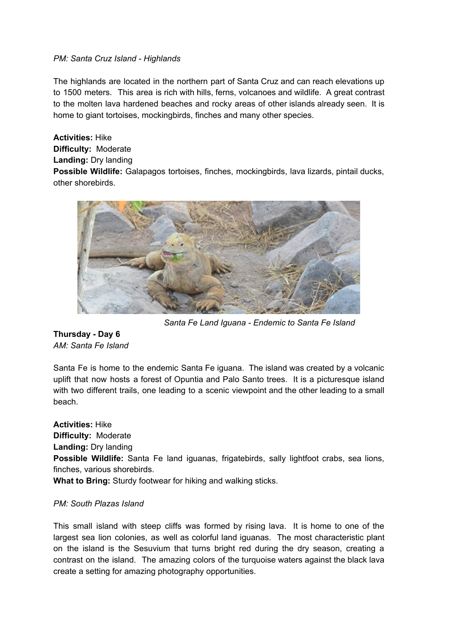## *PM: Santa Cruz Island - Highlands*

The highlands are located in the northern part of Santa Cruz and can reach elevations up to 1500 meters. This area is rich with hills, ferns, volcanoes and wildlife. A great contrast to the molten lava hardened beaches and rocky areas of other islands already seen. It is home to giant tortoises, mockingbirds, finches and many other species.

**Activities:** Hike **Difficulty:** Moderate **Landing:** Dry landing **Possible Wildlife:** Galapagos tortoises, finches, mockingbirds, lava lizards, pintail ducks, other shorebirds.



*Santa Fe Land Iguana - Endemic to Santa Fe Island*

**Thursday - Day 6** *AM: Santa Fe Island*

Santa Fe is home to the endemic Santa Fe iguana. The island was created by a volcanic uplift that now hosts a forest of Opuntia and Palo Santo trees. It is a picturesque island with two different trails, one leading to a scenic viewpoint and the other leading to a small beach.

**Activities:** Hike **Difficulty:** Moderate **Landing:** Dry landing **Possible Wildlife:** Santa Fe land iguanas, frigatebirds, sally lightfoot crabs, sea lions, finches, various shorebirds. **What to Bring:** Sturdy footwear for hiking and walking sticks.

#### *PM: South Plazas Island*

This small island with steep cliffs was formed by rising lava. It is home to one of the largest sea lion colonies, as well as colorful land iguanas. The most characteristic plant on the island is the Sesuvium that turns bright red during the dry season, creating a contrast on the island. The amazing colors of the turquoise waters against the black lava create a setting for amazing photography opportunities.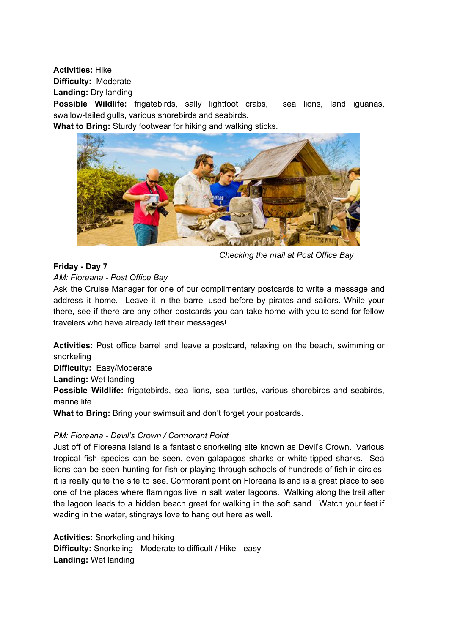**Activities:** Hike

**Difficulty:** Moderate

**Landing:** Dry landing

**Possible Wildlife:** frigatebirds, sally lightfoot crabs, sea lions, land iguanas, swallow-tailed gulls, various shorebirds and seabirds.

**What to Bring:** Sturdy footwear for hiking and walking sticks.



*Checking the mail at Post Office Bay*

## **Friday - Day 7**

## *AM: Floreana - Post Office Bay*

Ask the Cruise Manager for one of our complimentary postcards to write a message and address it home. Leave it in the barrel used before by pirates and sailors. While your there, see if there are any other postcards you can take home with you to send for fellow travelers who have already left their messages!

**Activities:** Post office barrel and leave a postcard, relaxing on the beach, swimming or snorkeling

**Difficulty:** Easy/Moderate

**Landing:** Wet landing

**Possible Wildlife:** frigatebirds, sea lions, sea turtles, various shorebirds and seabirds, marine life.

**What to Bring:** Bring your swimsuit and don't forget your postcards.

# *PM: Floreana - Devil's Crown / Cormorant Point*

Just off of Floreana Island is a fantastic snorkeling site known as Devil's Crown. Various tropical fish species can be seen, even galapagos sharks or white-tipped sharks. Sea lions can be seen hunting for fish or playing through schools of hundreds of fish in circles, it is really quite the site to see. Cormorant point on Floreana Island is a great place to see one of the places where flamingos live in salt water lagoons. Walking along the trail after the lagoon leads to a hidden beach great for walking in the soft sand. Watch your feet if wading in the water, stingrays love to hang out here as well.

**Activities:** Snorkeling and hiking **Difficulty:** Snorkeling - Moderate to difficult / Hike - easy **Landing:** Wet landing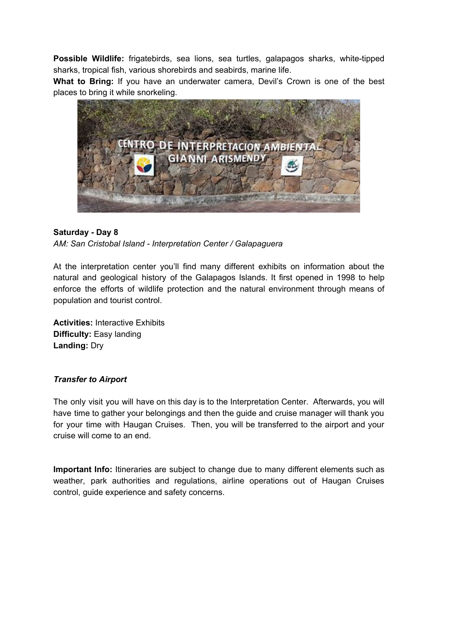**Possible Wildlife:** frigatebirds, sea lions, sea turtles, galapagos sharks, white-tipped sharks, tropical fish, various shorebirds and seabirds, marine life.

**What to Bring:** If you have an underwater camera, Devil's Crown is one of the best places to bring it while snorkeling.



## **Saturday - Day 8**

*AM: San Cristobal Island - Interpretation Center / Galapaguera*

At the interpretation center you'll find many different exhibits on information about the natural and geological history of the Galapagos Islands. It first opened in 1998 to help enforce the efforts of wildlife protection and the natural environment through means of population and tourist control.

**Activities:** Interactive Exhibits **Difficulty:** Easy landing **Landing:** Dry

#### *Transfer to Airport*

The only visit you will have on this day is to the Interpretation Center. Afterwards, you will have time to gather your belongings and then the guide and cruise manager will thank you for your time with Haugan Cruises. Then, you will be transferred to the airport and your cruise will come to an end.

**Important Info:** Itineraries are subject to change due to many different elements such as weather, park authorities and regulations, airline operations out of Haugan Cruises control, guide experience and safety concerns.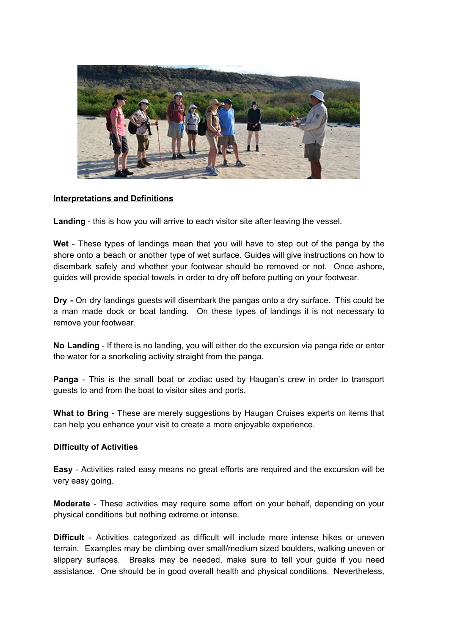

## **Interpretations and Definitions**

**Landing** - this is how you will arrive to each visitor site after leaving the vessel.

**Wet** - These types of landings mean that you will have to step out of the panga by the shore onto a beach or another type of wet surface. Guides will give instructions on how to disembark safely and whether your footwear should be removed or not. Once ashore, guides will provide special towels in order to dry off before putting on your footwear.

**Dry -** On dry landings guests will disembark the pangas onto a dry surface. This could be a man made dock or boat landing. On these types of landings it is not necessary to remove your footwear.

**No Landing** - If there is no landing, you will either do the excursion via panga ride or enter the water for a snorkeling activity straight from the panga.

**Panga** - This is the small boat or zodiac used by Haugan's crew in order to transport guests to and from the boat to visitor sites and ports.

**What to Bring** - These are merely suggestions by Haugan Cruises experts on items that can help you enhance your visit to create a more enjoyable experience.

#### **Difficulty of Activities**

**Easy** - Activities rated easy means no great efforts are required and the excursion will be very easy going.

**Moderate** - These activities may require some effort on your behalf, depending on your physical conditions but nothing extreme or intense.

**Difficult** - Activities categorized as difficult will include more intense hikes or uneven terrain. Examples may be climbing over small/medium sized boulders, walking uneven or slippery surfaces. Breaks may be needed, make sure to tell your guide if you need assistance. One should be in good overall health and physical conditions. Nevertheless,